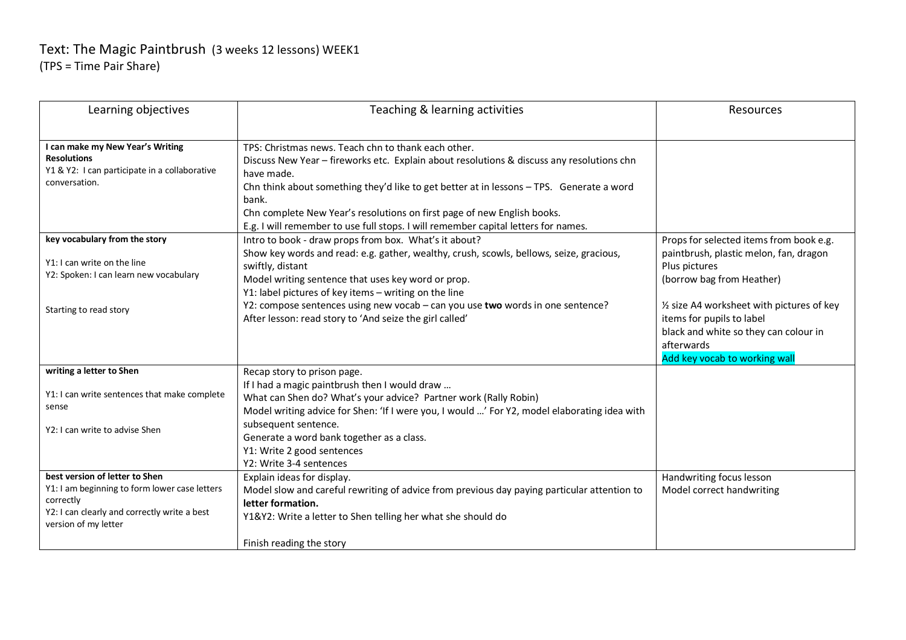## Text: The Magic Paintbrush (3 weeks 12 lessons) WEEK1 (TPS = Time Pair Share)

| Learning objectives                                                                                                                                                  | Teaching & learning activities                                                                                                                                                                                                                                                                                                                                                                                                       | Resources                                                                                                                                                                                                                                                                                          |
|----------------------------------------------------------------------------------------------------------------------------------------------------------------------|--------------------------------------------------------------------------------------------------------------------------------------------------------------------------------------------------------------------------------------------------------------------------------------------------------------------------------------------------------------------------------------------------------------------------------------|----------------------------------------------------------------------------------------------------------------------------------------------------------------------------------------------------------------------------------------------------------------------------------------------------|
| I can make my New Year's Writing<br><b>Resolutions</b><br>Y1 & Y2: I can participate in a collaborative<br>conversation.                                             | TPS: Christmas news. Teach chn to thank each other.<br>Discuss New Year - fireworks etc. Explain about resolutions & discuss any resolutions chn<br>have made.<br>Chn think about something they'd like to get better at in lessons - TPS. Generate a word<br>bank.<br>Chn complete New Year's resolutions on first page of new English books.<br>E.g. I will remember to use full stops. I will remember capital letters for names. |                                                                                                                                                                                                                                                                                                    |
| key vocabulary from the story<br>Y1: I can write on the line<br>Y2: Spoken: I can learn new vocabulary<br>Starting to read story                                     | Intro to book - draw props from box. What's it about?<br>Show key words and read: e.g. gather, wealthy, crush, scowls, bellows, seize, gracious,<br>swiftly, distant<br>Model writing sentence that uses key word or prop.<br>Y1: label pictures of key items - writing on the line<br>Y2: compose sentences using new vocab - can you use two words in one sentence?<br>After lesson: read story to 'And seize the girl called'     | Props for selected items from book e.g.<br>paintbrush, plastic melon, fan, dragon<br>Plus pictures<br>(borrow bag from Heather)<br>1/2 size A4 worksheet with pictures of key<br>items for pupils to label<br>black and white so they can colour in<br>afterwards<br>Add key vocab to working wall |
| writing a letter to Shen<br>Y1: I can write sentences that make complete<br>sense<br>Y2: I can write to advise Shen                                                  | Recap story to prison page.<br>If I had a magic paintbrush then I would draw<br>What can Shen do? What's your advice? Partner work (Rally Robin)<br>Model writing advice for Shen: 'If I were you, I would ' For Y2, model elaborating idea with<br>subsequent sentence.<br>Generate a word bank together as a class.<br>Y1: Write 2 good sentences<br>Y2: Write 3-4 sentences                                                       |                                                                                                                                                                                                                                                                                                    |
| best version of letter to Shen<br>Y1: I am beginning to form lower case letters<br>correctly<br>Y2: I can clearly and correctly write a best<br>version of my letter | Explain ideas for display.<br>Model slow and careful rewriting of advice from previous day paying particular attention to<br>letter formation.<br>Y1&Y2: Write a letter to Shen telling her what she should do<br>Finish reading the story                                                                                                                                                                                           | Handwriting focus lesson<br>Model correct handwriting                                                                                                                                                                                                                                              |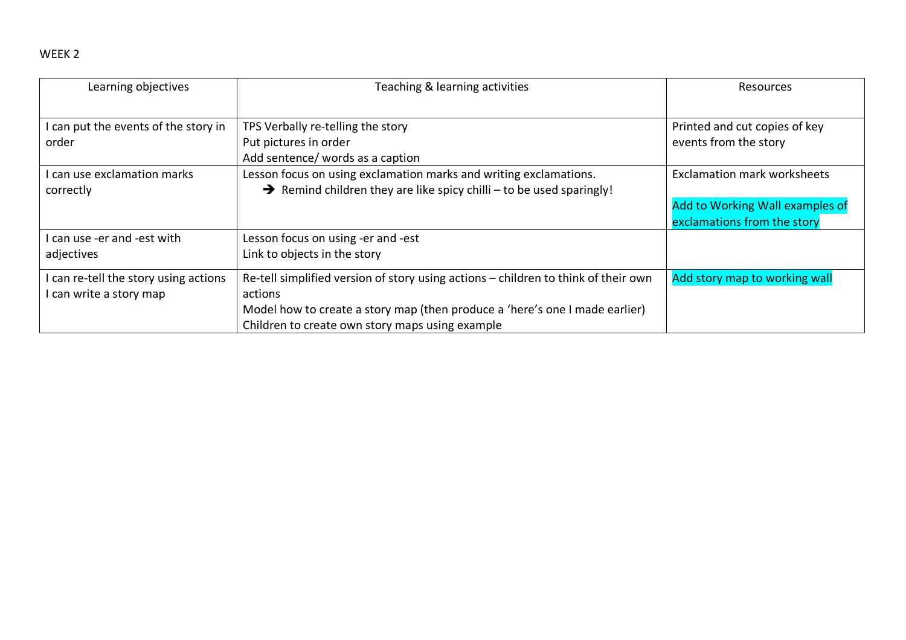| Learning objectives                                            | Teaching & learning activities                                                                                                                                                                                                  | Resources                                                                                            |
|----------------------------------------------------------------|---------------------------------------------------------------------------------------------------------------------------------------------------------------------------------------------------------------------------------|------------------------------------------------------------------------------------------------------|
| can put the events of the story in<br>order                    | TPS Verbally re-telling the story<br>Put pictures in order<br>Add sentence/ words as a caption                                                                                                                                  | Printed and cut copies of key<br>events from the story                                               |
| can use exclamation marks<br>correctly                         | Lesson focus on using exclamation marks and writing exclamations.<br>$\rightarrow$ Remind children they are like spicy chilli – to be used sparingly!                                                                           | <b>Exclamation mark worksheets</b><br>Add to Working Wall examples of<br>exclamations from the story |
| can use -er and -est with<br>adjectives                        | Lesson focus on using -er and -est<br>Link to objects in the story                                                                                                                                                              |                                                                                                      |
| can re-tell the story using actions<br>l can write a story map | Re-tell simplified version of story using actions - children to think of their own<br>actions<br>Model how to create a story map (then produce a 'here's one I made earlier)<br>Children to create own story maps using example | Add story map to working wall                                                                        |